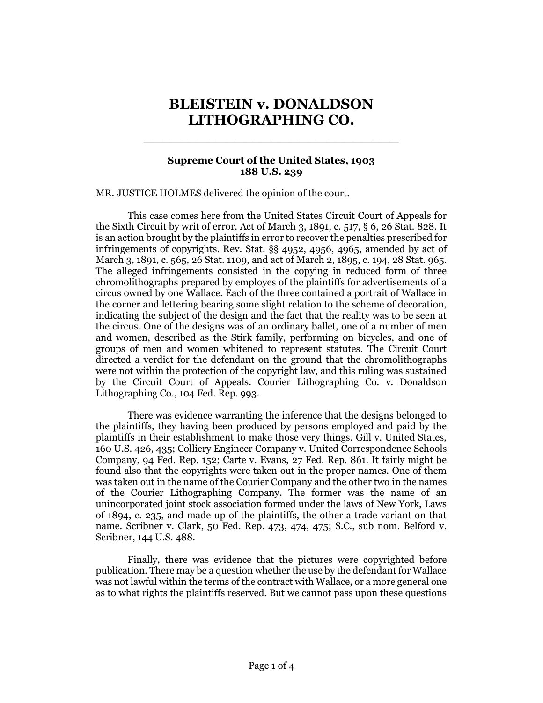## **BLEISTEIN v. DONALDSON LITHOGRAPHING CO.**

\_\_\_\_\_\_\_\_\_\_\_\_\_\_\_\_\_\_\_\_\_\_\_\_\_\_\_\_

## **Supreme Court of the United States, 1903 188 U.S. 239**

MR. JUSTICE HOLMES delivered the opinion of the court.

This case comes here from the United States Circuit Court of Appeals for the Sixth Circuit by writ of error. Act of March 3, 1891, c. 517, § 6, 26 Stat. 828. It is an action brought by the plaintiffs in error to recover the penalties prescribed for infringements of copyrights. Rev. Stat. §§ 4952, 4956, 4965, amended by act of March 3, 1891, c. 565, 26 Stat. 1109, and act of March 2, 1895, c. 194, 28 Stat. 965. The alleged infringements consisted in the copying in reduced form of three chromolithographs prepared by employes of the plaintiffs for advertisements of a circus owned by one Wallace. Each of the three contained a portrait of Wallace in the corner and lettering bearing some slight relation to the scheme of decoration, indicating the subject of the design and the fact that the reality was to be seen at the circus. One of the designs was of an ordinary ballet, one of a number of men and women, described as the Stirk family, performing on bicycles, and one of groups of men and women whitened to represent statutes. The Circuit Court directed a verdict for the defendant on the ground that the chromolithographs were not within the protection of the copyright law, and this ruling was sustained by the Circuit Court of Appeals. Courier Lithographing Co. v. Donaldson Lithographing Co., 104 Fed. Rep. 993.

There was evidence warranting the inference that the designs belonged to the plaintiffs, they having been produced by persons employed and paid by the plaintiffs in their establishment to make those very things. Gill v. United States, 160 U.S. 426, 435; Colliery Engineer Company v. United Correspondence Schools Company, 94 Fed. Rep. 152; Carte v. Evans, 27 Fed. Rep. 861. It fairly might be found also that the copyrights were taken out in the proper names. One of them was taken out in the name of the Courier Company and the other two in the names of the Courier Lithographing Company. The former was the name of an unincorporated joint stock association formed under the laws of New York, Laws of 1894, c. 235, and made up of the plaintiffs, the other a trade variant on that name. Scribner v. Clark, 50 Fed. Rep. 473, 474, 475; S.C., sub nom. Belford v. Scribner, 144 U.S. 488.

Finally, there was evidence that the pictures were copyrighted before publication. There may be a question whether the use by the defendant for Wallace was not lawful within the terms of the contract with Wallace, or a more general one as to what rights the plaintiffs reserved. But we cannot pass upon these questions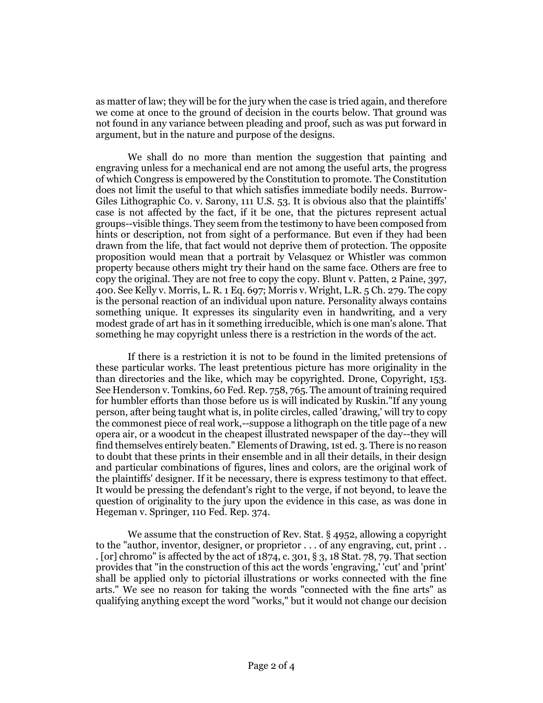as matter of law; they will be for the jury when the case is tried again, and therefore we come at once to the ground of decision in the courts below. That ground was not found in any variance between pleading and proof, such as was put forward in argument, but in the nature and purpose of the designs.

We shall do no more than mention the suggestion that painting and engraving unless for a mechanical end are not among the useful arts, the progress of which Congress is empowered by the Constitution to promote. The Constitution does not limit the useful to that which satisfies immediate bodily needs. Burrow-Giles Lithographic Co. v. Sarony, 111 U.S. 53. It is obvious also that the plaintiffs' case is not affected by the fact, if it be one, that the pictures represent actual groups--visible things. They seem from the testimony to have been composed from hints or description, not from sight of a performance. But even if they had been drawn from the life, that fact would not deprive them of protection. The opposite proposition would mean that a portrait by Velasquez or Whistler was common property because others might try their hand on the same face. Others are free to copy the original. They are not free to copy the copy. Blunt v. Patten, 2 Paine, 397, 400. See Kelly v. Morris, L. R. 1 Eq. 697; Morris v. Wright, L.R. 5 Ch. 279. The copy is the personal reaction of an individual upon nature. Personality always contains something unique. It expresses its singularity even in handwriting, and a very modest grade of art has in it something irreducible, which is one man's alone. That something he may copyright unless there is a restriction in the words of the act.

If there is a restriction it is not to be found in the limited pretensions of these particular works. The least pretentious picture has more originality in the than directories and the like, which may be copyrighted. Drone, Copyright, 153. See Henderson v. Tomkins, 60 Fed. Rep. 758, 765. The amount of training required for humbler efforts than those before us is will indicated by Ruskin."If any young person, after being taught what is, in polite circles, called 'drawing,' will try to copy the commonest piece of real work,--suppose a lithograph on the title page of a new opera air, or a woodcut in the cheapest illustrated newspaper of the day--they will find themselves entirely beaten." Elements of Drawing, 1st ed. 3. There is no reason to doubt that these prints in their ensemble and in all their details, in their design and particular combinations of figures, lines and colors, are the original work of the plaintiffs' designer. If it be necessary, there is express testimony to that effect. It would be pressing the defendant's right to the verge, if not beyond, to leave the question of originality to the jury upon the evidence in this case, as was done in Hegeman v. Springer, 110 Fed. Rep. 374.

We assume that the construction of Rev. Stat. § 4952, allowing a copyright to the "author, inventor, designer, or proprietor . . . of any engraving, cut, print . . . [or] chromo" is affected by the act of 1874, c. 301, § 3, 18 Stat. 78, 79. That section provides that "in the construction of this act the words 'engraving,' 'cut' and 'print' shall be applied only to pictorial illustrations or works connected with the fine arts." We see no reason for taking the words "connected with the fine arts" as qualifying anything except the word "works," but it would not change our decision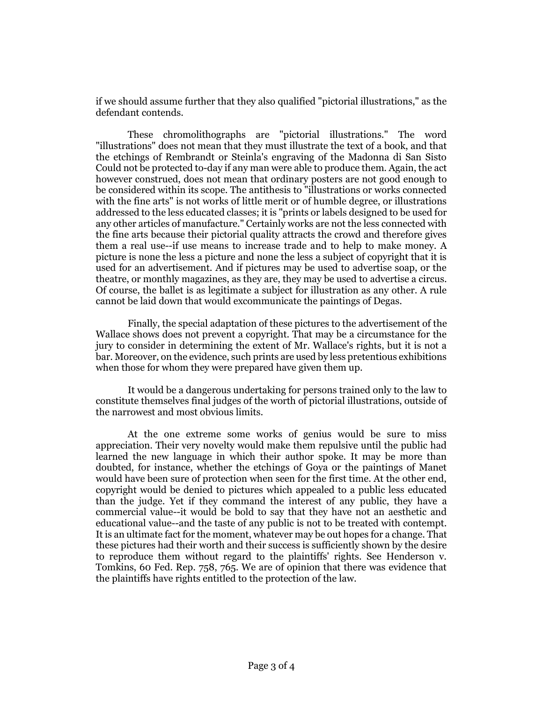if we should assume further that they also qualified "pictorial illustrations," as the defendant contends.

These chromolithographs are "pictorial illustrations." The word "illustrations" does not mean that they must illustrate the text of a book, and that the etchings of Rembrandt or Steinla's engraving of the Madonna di San Sisto Could not be protected to-day if any man were able to produce them. Again, the act however construed, does not mean that ordinary posters are not good enough to be considered within its scope. The antithesis to "illustrations or works connected with the fine arts" is not works of little merit or of humble degree, or illustrations addressed to the less educated classes; it is "prints or labels designed to be used for any other articles of manufacture." Certainly works are not the less connected with the fine arts because their pictorial quality attracts the crowd and therefore gives them a real use--if use means to increase trade and to help to make money. A picture is none the less a picture and none the less a subject of copyright that it is used for an advertisement. And if pictures may be used to advertise soap, or the theatre, or monthly magazines, as they are, they may be used to advertise a circus. Of course, the ballet is as legitimate a subject for illustration as any other. A rule cannot be laid down that would excommunicate the paintings of Degas.

Finally, the special adaptation of these pictures to the advertisement of the Wallace shows does not prevent a copyright. That may be a circumstance for the jury to consider in determining the extent of Mr. Wallace's rights, but it is not a bar. Moreover, on the evidence, such prints are used by less pretentious exhibitions when those for whom they were prepared have given them up.

It would be a dangerous undertaking for persons trained only to the law to constitute themselves final judges of the worth of pictorial illustrations, outside of the narrowest and most obvious limits.

At the one extreme some works of genius would be sure to miss appreciation. Their very novelty would make them repulsive until the public had learned the new language in which their author spoke. It may be more than doubted, for instance, whether the etchings of Goya or the paintings of Manet would have been sure of protection when seen for the first time. At the other end, copyright would be denied to pictures which appealed to a public less educated than the judge. Yet if they command the interest of any public, they have a commercial value--it would be bold to say that they have not an aesthetic and educational value--and the taste of any public is not to be treated with contempt. It is an ultimate fact for the moment, whatever may be out hopes for a change. That these pictures had their worth and their success is sufficiently shown by the desire to reproduce them without regard to the plaintiffs' rights. See Henderson v. Tomkins, 60 Fed. Rep. 758, 765. We are of opinion that there was evidence that the plaintiffs have rights entitled to the protection of the law.